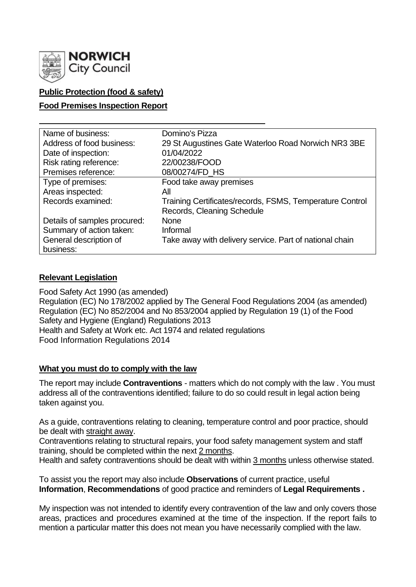

# **Public Protection (food & safety)**

#### **Food Premises Inspection Report**

| Name of business:            | Domino's Pizza                                           |
|------------------------------|----------------------------------------------------------|
| Address of food business:    | 29 St Augustines Gate Waterloo Road Norwich NR3 3BE      |
| Date of inspection:          | 01/04/2022                                               |
| Risk rating reference:       | 22/00238/FOOD                                            |
| Premises reference:          | 08/00274/FD_HS                                           |
| Type of premises:            | Food take away premises                                  |
| Areas inspected:             | All                                                      |
| Records examined:            | Training Certificates/records, FSMS, Temperature Control |
|                              | Records, Cleaning Schedule                               |
| Details of samples procured: | <b>None</b>                                              |
| Summary of action taken:     | Informal                                                 |
| General description of       | Take away with delivery service. Part of national chain  |
| business:                    |                                                          |

### **Relevant Legislation**

Food Safety Act 1990 (as amended) Regulation (EC) No 178/2002 applied by The General Food Regulations 2004 (as amended) Regulation (EC) No 852/2004 and No 853/2004 applied by Regulation 19 (1) of the Food Safety and Hygiene (England) Regulations 2013 Health and Safety at Work etc. Act 1974 and related regulations Food Information Regulations 2014

#### **What you must do to comply with the law**

The report may include **Contraventions** - matters which do not comply with the law . You must address all of the contraventions identified; failure to do so could result in legal action being taken against you.

As a guide, contraventions relating to cleaning, temperature control and poor practice, should be dealt with straight away.

Contraventions relating to structural repairs, your food safety management system and staff training, should be completed within the next 2 months.

Health and safety contraventions should be dealt with within 3 months unless otherwise stated.

To assist you the report may also include **Observations** of current practice, useful **Information**, **Recommendations** of good practice and reminders of **Legal Requirements .**

My inspection was not intended to identify every contravention of the law and only covers those areas, practices and procedures examined at the time of the inspection. If the report fails to mention a particular matter this does not mean you have necessarily complied with the law.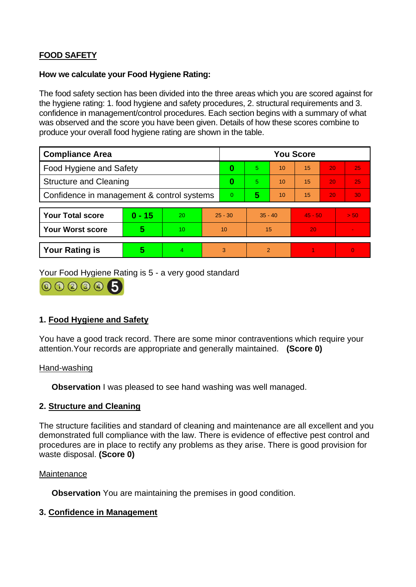# **FOOD SAFETY**

#### **How we calculate your Food Hygiene Rating:**

The food safety section has been divided into the three areas which you are scored against for the hygiene rating: 1. food hygiene and safety procedures, 2. structural requirements and 3. confidence in management/control procedures. Each section begins with a summary of what was observed and the score you have been given. Details of how these scores combine to produce your overall food hygiene rating are shown in the table.

| <b>Compliance Area</b>                     |          |    |           | <b>You Score</b> |           |    |           |    |                |  |
|--------------------------------------------|----------|----|-----------|------------------|-----------|----|-----------|----|----------------|--|
| <b>Food Hygiene and Safety</b>             |          |    |           | 0                | 5.        | 10 | 15        | 20 | 25             |  |
| <b>Structure and Cleaning</b>              |          |    |           | $\bf{0}$         | 5.        | 10 | 15        | 20 | 25             |  |
| Confidence in management & control systems |          |    |           | 0                | 5         | 10 | 15        | 20 | 30             |  |
|                                            |          |    |           |                  |           |    |           |    |                |  |
| <b>Your Total score</b>                    | $0 - 15$ | 20 | $25 - 30$ |                  | $35 - 40$ |    | $45 - 50$ |    | > 50           |  |
| <b>Your Worst score</b>                    | 5        | 10 | 10        |                  | 15        |    | 20        |    |                |  |
|                                            |          |    |           |                  |           |    |           |    |                |  |
| <b>Your Rating is</b>                      | 5        | 4  |           | 3                | 2         |    |           |    | $\overline{0}$ |  |

Your Food Hygiene Rating is 5 - a very good standard



## **1. Food Hygiene and Safety**

You have a good track record. There are some minor contraventions which require your attention.Your records are appropriate and generally maintained. **(Score 0)**

#### Hand-washing

**Observation** I was pleased to see hand washing was well managed.

#### **2. Structure and Cleaning**

The structure facilities and standard of cleaning and maintenance are all excellent and you demonstrated full compliance with the law. There is evidence of effective pest control and procedures are in place to rectify any problems as they arise. There is good provision for waste disposal. **(Score 0)**

#### **Maintenance**

**Observation** You are maintaining the premises in good condition.

#### **3. Confidence in Management**